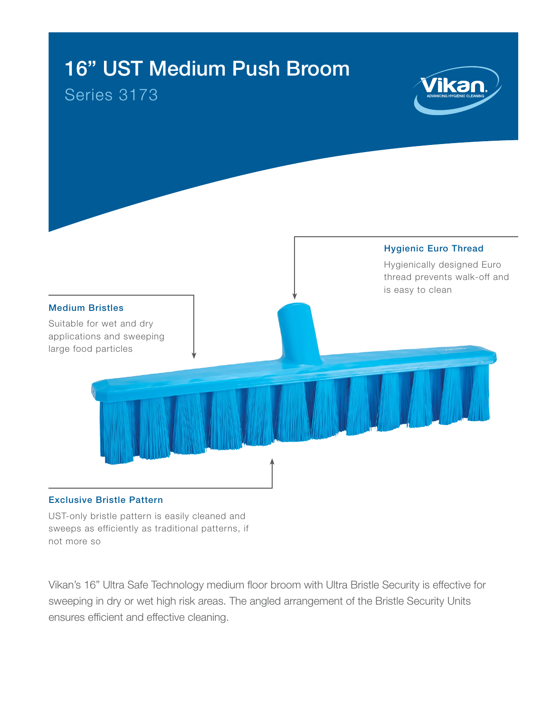# 16" UST Medium Push Broom

## Series 3173





#### Exclusive Bristle Pattern

UST-only bristle pattern is easily cleaned and sweeps as efficiently as traditional patterns, if not more so

Vikan's 16" Ultra Safe Technology medium floor broom with Ultra Bristle Security is effective for sweeping in dry or wet high risk areas. The angled arrangement of the Bristle Security Units ensures efficient and effective cleaning.